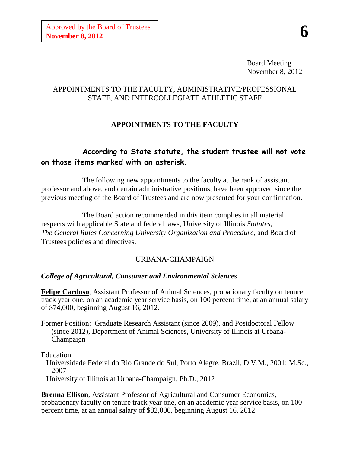Board Meeting November 8, 2012

## APPOINTMENTS TO THE FACULTY, ADMINISTRATIVE/PROFESSIONAL STAFF, AND INTERCOLLEGIATE ATHLETIC STAFF

# **APPOINTMENTS TO THE FACULTY**

# **According to State statute, the student trustee will not vote on those items marked with an asterisk.**

The following new appointments to the faculty at the rank of assistant professor and above, and certain administrative positions, have been approved since the previous meeting of the Board of Trustees and are now presented for your confirmation.

The Board action recommended in this item complies in all material respects with applicable State and federal laws, University of Illinois *Statutes*, *The General Rules Concerning University Organization and Procedure*, and Board of Trustees policies and directives.

# URBANA-CHAMPAIGN

# *College of Agricultural, Consumer and Environmental Sciences*

**Felipe Cardoso**, Assistant Professor of Animal Sciences, probationary faculty on tenure track year one, on an academic year service basis, on 100 percent time, at an annual salary of \$74,000, beginning August 16, 2012.

Former Position: Graduate Research Assistant (since 2009), and Postdoctoral Fellow (since 2012), Department of Animal Sciences, University of Illinois at Urbana-Champaign

Education

Universidade Federal do Rio Grande do Sul, Porto Alegre, Brazil, D.V.M., 2001; M.Sc., 2007

University of Illinois at Urbana-Champaign, Ph.D., 2012

**Brenna Ellison**, Assistant Professor of Agricultural and Consumer Economics, probationary faculty on tenure track year one, on an academic year service basis, on 100 percent time, at an annual salary of \$82,000, beginning August 16, 2012.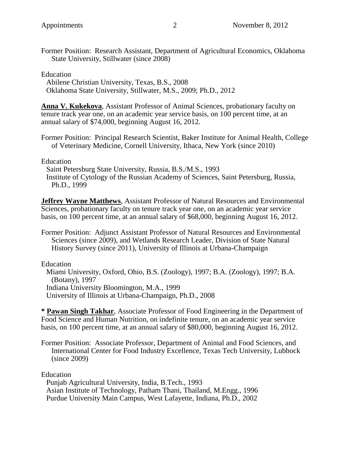Former Position: Research Assistant, Department of Agricultural Economics, Oklahoma State University, Stillwater (since 2008)

#### Education

Abilene Christian University, Texas, B.S., 2008 Oklahoma State University, Stillwater, M.S., 2009; Ph.D., 2012

**Anna V. Kukekova**, Assistant Professor of Animal Sciences, probationary faculty on tenure track year one, on an academic year service basis, on 100 percent time, at an annual salary of \$74,000, beginning August 16, 2012.

Former Position: Principal Research Scientist, Baker Institute for Animal Health, College of Veterinary Medicine, Cornell University, Ithaca, New York (since 2010)

#### Education

Saint Petersburg State University, Russia, B.S./M.S., 1993 Institute of Cytology of the Russian Academy of Sciences, Saint Petersburg, Russia, Ph.D., 1999

**Jeffrey Wayne Matthews**, Assistant Professor of Natural Resources and Environmental Sciences, probationary faculty on tenure track year one, on an academic year service basis, on 100 percent time, at an annual salary of \$68,000, beginning August 16, 2012.

Former Position: Adjunct Assistant Professor of Natural Resources and Environmental Sciences (since 2009), and Wetlands Research Leader, Division of State Natural History Survey (since 2011), University of Illinois at Urbana-Champaign

Education

Miami University, Oxford, Ohio, B.S. (Zoology), 1997; B.A. (Zoology), 1997; B.A. (Botany), 1997 Indiana University Bloomington, M.A., 1999 University of Illinois at Urbana-Champaign, Ph.D., 2008

**\* Pawan Singh Takhar**, Associate Professor of Food Engineering in the Department of Food Science and Human Nutrition, on indefinite tenure, on an academic year service basis, on 100 percent time, at an annual salary of \$80,000, beginning August 16, 2012.

Former Position: Associate Professor, Department of Animal and Food Sciences, and International Center for Food Industry Excellence, Texas Tech University, Lubbock (since 2009)

Education

Punjab Agricultural University, India, B.Tech., 1993 Asian Institute of Technology, Patham Thani, Thailand, M.Engg., 1996 Purdue University Main Campus, West Lafayette, Indiana, Ph.D., 2002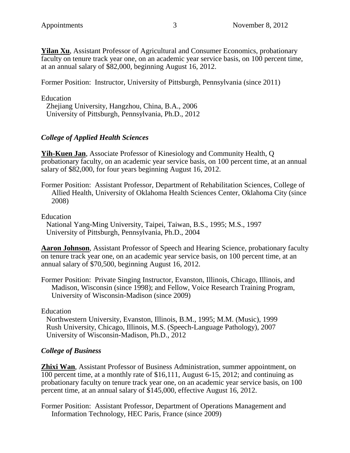**Yilan Xu**, Assistant Professor of Agricultural and Consumer Economics, probationary faculty on tenure track year one, on an academic year service basis, on 100 percent time, at an annual salary of \$82,000, beginning August 16, 2012.

Former Position: Instructor, University of Pittsburgh, Pennsylvania (since 2011)

Education

Zhejiang University, Hangzhou, China, B.A., 2006 University of Pittsburgh, Pennsylvania, Ph.D., 2012

# *College of Applied Health Sciences*

**Yih-Kuen Jan**, Associate Professor of Kinesiology and Community Health, Q probationary faculty, on an academic year service basis, on 100 percent time, at an annual salary of \$82,000, for four years beginning August 16, 2012.

Former Position: Assistant Professor, Department of Rehabilitation Sciences, College of Allied Health, University of Oklahoma Health Sciences Center, Oklahoma City (since 2008)

Education

National Yang-Ming University, Taipei, Taiwan, B.S., 1995; M.S., 1997 University of Pittsburgh, Pennsylvania, Ph.D., 2004

**Aaron Johnson**, Assistant Professor of Speech and Hearing Science, probationary faculty on tenure track year one, on an academic year service basis, on 100 percent time, at an annual salary of \$70,500, beginning August 16, 2012.

Former Position: Private Singing Instructor, Evanston, Illinois, Chicago, Illinois, and Madison, Wisconsin (since 1998); and Fellow, Voice Research Training Program, University of Wisconsin-Madison (since 2009)

Education

Northwestern University, Evanston, Illinois, B.M., 1995; M.M. (Music), 1999 Rush University, Chicago, Illinois, M.S. (Speech-Language Pathology), 2007 University of Wisconsin-Madison, Ph.D., 2012

# *College of Business*

**Zhixi Wan**, Assistant Professor of Business Administration, summer appointment, on 100 percent time, at a monthly rate of \$16,111, August 6-15, 2012; and continuing as probationary faculty on tenure track year one, on an academic year service basis, on 100 percent time, at an annual salary of \$145,000, effective August 16, 2012.

Former Position: Assistant Professor, Department of Operations Management and Information Technology, HEC Paris, France (since 2009)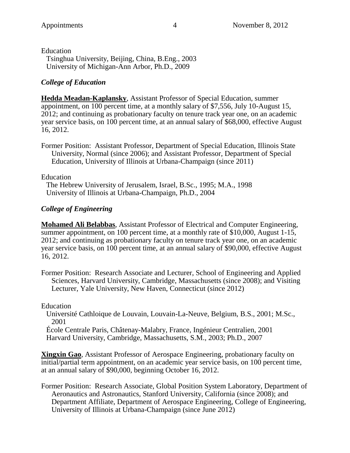Education Tsinghua University, Beijing, China, B.Eng., 2003 University of Michigan-Ann Arbor, Ph.D., 2009

# *College of Education*

**Hedda Meadan-Kaplansky**, Assistant Professor of Special Education, summer appointment, on 100 percent time, at a monthly salary of \$7,556, July 10-August 15, 2012; and continuing as probationary faculty on tenure track year one, on an academic year service basis, on 100 percent time, at an annual salary of \$68,000, effective August 16, 2012.

Former Position: Assistant Professor, Department of Special Education, Illinois State University, Normal (since 2006); and Assistant Professor, Department of Special Education, University of Illinois at Urbana-Champaign (since 2011)

### Education

The Hebrew University of Jerusalem, Israel, B.Sc., 1995; M.A., 1998 University of Illinois at Urbana-Champaign, Ph.D., 2004

# *College of Engineering*

**Mohamed Ali Belabbas**, Assistant Professor of Electrical and Computer Engineering, summer appointment, on 100 percent time, at a monthly rate of \$10,000, August 1-15, 2012; and continuing as probationary faculty on tenure track year one, on an academic year service basis, on 100 percent time, at an annual salary of \$90,000, effective August 16, 2012.

Former Position: Research Associate and Lecturer, School of Engineering and Applied Sciences, Harvard University, Cambridge, Massachusetts (since 2008); and Visiting Lecturer, Yale University, New Haven, Connecticut (since 2012)

### Education

Université Cathloique de Louvain, Louvain-La-Neuve, Belgium, B.S., 2001; M.Sc., 2001

École Centrale Paris, Châtenay-Malabry, France, Ingénieur Centralien, 2001 Harvard University, Cambridge, Massachusetts, S.M., 2003; Ph.D., 2007

**Xingxin Gao**, Assistant Professor of Aerospace Engineering, probationary faculty on initial/partial term appointment, on an academic year service basis, on 100 percent time, at an annual salary of \$90,000, beginning October 16, 2012.

Former Position: Research Associate, Global Position System Laboratory, Department of Aeronautics and Astronautics, Stanford University, California (since 2008); and Department Affiliate, Department of Aerospace Engineering, College of Engineering, University of Illinois at Urbana-Champaign (since June 2012)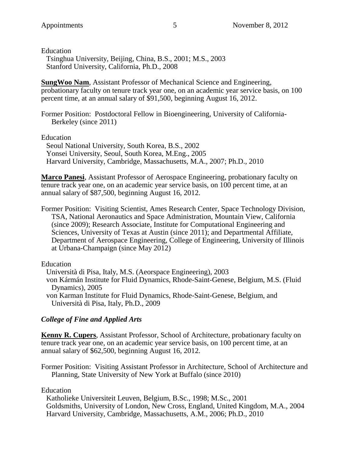Education Tsinghua University, Beijing, China, B.S., 2001; M.S., 2003 Stanford University, California, Ph.D., 2008

**SungWoo Nam**, Assistant Professor of Mechanical Science and Engineering, probationary faculty on tenure track year one, on an academic year service basis, on 100 percent time, at an annual salary of \$91,500, beginning August 16, 2012.

Former Position: Postdoctoral Fellow in Bioengineering, University of California-Berkeley (since 2011)

Education

Seoul National University, South Korea, B.S., 2002 Yonsei University, Seoul, South Korea, M.Eng., 2005 Harvard University, Cambridge, Massachusetts, M.A., 2007; Ph.D., 2010

**Marco Panesi**, Assistant Professor of Aerospace Engineering, probationary faculty on tenure track year one, on an academic year service basis, on 100 percent time, at an annual salary of \$87,500, beginning August 16, 2012.

Former Position: Visiting Scientist, Ames Research Center, Space Technology Division, TSA, National Aeronautics and Space Administration, Mountain View, California (since 2009); Research Associate, Institute for Computational Engineering and Sciences, University of Texas at Austin (since 2011); and Departmental Affiliate, Department of Aerospace Engineering, College of Engineering, University of Illinois at Urbana-Champaign (since May 2012)

Education

Università di Pisa, Italy, M.S. (Aeorspace Engineering), 2003

von Kármán Institute for Fluid Dynamics, Rhode-Saint-Genese, Belgium, M.S. (Fluid Dynamics), 2005

von Karman Institute for Fluid Dynamics, Rhode-Saint-Genese, Belgium, and Università di Pisa, Italy, Ph.D., 2009

# *College of Fine and Applied Arts*

**Kenny R. Cupers**, Assistant Professor, School of Architecture, probationary faculty on tenure track year one, on an academic year service basis, on 100 percent time, at an annual salary of \$62,500, beginning August 16, 2012.

Former Position: Visiting Assistant Professor in Architecture, School of Architecture and Planning, State University of New York at Buffalo (since 2010)

Education

Katholieke Universiteit Leuven, Belgium, B.Sc., 1998; M.Sc., 2001 Goldsmiths, University of London, New Cross, England, United Kingdom, M.A., 2004 Harvard University, Cambridge, Massachusetts, A.M., 2006; Ph.D., 2010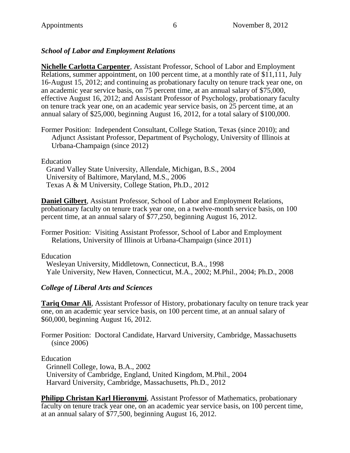## *School of Labor and Employment Relations*

**Nichelle Carlotta Carpenter**, Assistant Professor, School of Labor and Employment Relations, summer appointment, on 100 percent time, at a monthly rate of \$11,111, July 16-August 15, 2012; and continuing as probationary faculty on tenure track year one, on an academic year service basis, on 75 percent time, at an annual salary of \$75,000, effective August 16, 2012; and Assistant Professor of Psychology, probationary faculty on tenure track year one, on an academic year service basis, on 25 percent time, at an annual salary of \$25,000, beginning August 16, 2012, for a total salary of \$100,000.

Former Position: Independent Consultant, College Station, Texas (since 2010); and Adjunct Assistant Professor, Department of Psychology, University of Illinois at Urbana-Champaign (since 2012)

Education

Grand Valley State University, Allendale, Michigan, B.S., 2004 University of Baltimore, Maryland, M.S., 2006 Texas A & M University, College Station, Ph.D., 2012

**Daniel Gilbert**, Assistant Professor, School of Labor and Employment Relations, probationary faculty on tenure track year one, on a twelve-month service basis, on 100 percent time, at an annual salary of \$77,250, beginning August 16, 2012.

Former Position: Visiting Assistant Professor, School of Labor and Employment Relations, University of Illinois at Urbana-Champaign (since 2011)

Education

Wesleyan University, Middletown, Connecticut, B.A., 1998 Yale University, New Haven, Connecticut, M.A., 2002; M.Phil., 2004; Ph.D., 2008

### *College of Liberal Arts and Sciences*

**Tariq Omar Ali**, Assistant Professor of History, probationary faculty on tenure track year one, on an academic year service basis, on 100 percent time, at an annual salary of \$60,000, beginning August 16, 2012.

Former Position: Doctoral Candidate, Harvard University, Cambridge, Massachusetts (since 2006)

Education

Grinnell College, Iowa, B.A., 2002 University of Cambridge, England, United Kingdom, M.Phil., 2004 Harvard University, Cambridge, Massachusetts, Ph.D., 2012

**Philipp Christan Karl Hieronymi**, Assistant Professor of Mathematics, probationary faculty on tenure track year one, on an academic year service basis, on 100 percent time, at an annual salary of \$77,500, beginning August 16, 2012.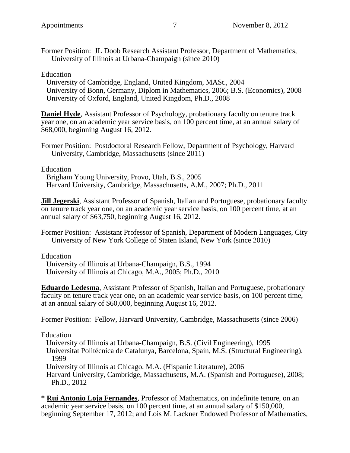Former Position: JL Doob Research Assistant Professor, Department of Mathematics, University of Illinois at Urbana-Champaign (since 2010)

#### Education

University of Cambridge, England, United Kingdom, MASt., 2004 University of Bonn, Germany, Diplom in Mathematics, 2006; B.S. (Economics), 2008 University of Oxford, England, United Kingdom, Ph.D., 2008

**Daniel Hyde**, Assistant Professor of Psychology, probationary faculty on tenure track year one, on an academic year service basis, on 100 percent time, at an annual salary of \$68,000, beginning August 16, 2012.

Former Position: Postdoctoral Research Fellow, Department of Psychology, Harvard University, Cambridge, Massachusetts (since 2011)

Education

Brigham Young University, Provo, Utah, B.S., 2005 Harvard University, Cambridge, Massachusetts, A.M., 2007; Ph.D., 2011

**Jill Jegerski**, Assistant Professor of Spanish, Italian and Portuguese, probationary faculty on tenure track year one, on an academic year service basis, on 100 percent time, at an annual salary of \$63,750, beginning August 16, 2012.

Former Position: Assistant Professor of Spanish, Department of Modern Languages, City University of New York College of Staten Island, New York (since 2010)

Education

University of Illinois at Urbana-Champaign, B.S., 1994 University of Illinois at Chicago, M.A., 2005; Ph.D., 2010

**Eduardo Ledesma**, Assistant Professor of Spanish, Italian and Portuguese, probationary faculty on tenure track year one, on an academic year service basis, on 100 percent time, at an annual salary of \$60,000, beginning August 16, 2012.

Former Position: Fellow, Harvard University, Cambridge, Massachusetts (since 2006)

Education

University of Illinois at Urbana-Champaign, B.S. (Civil Engineering), 1995

Universitat Politécnica de Catalunya, Barcelona, Spain, M.S. (Structural Engineering), 1999

University of Illinois at Chicago, M.A. (Hispanic Literature), 2006

Harvard University, Cambridge, Massachusetts, M.A. (Spanish and Portuguese), 2008; Ph.D., 2012

**\* Rui Antonio Loja Fernandes**, Professor of Mathematics, on indefinite tenure, on an academic year service basis, on 100 percent time, at an annual salary of \$150,000, beginning September 17, 2012; and Lois M. Lackner Endowed Professor of Mathematics,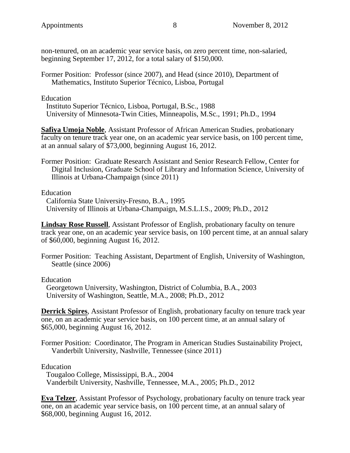non-tenured, on an academic year service basis, on zero percent time, non-salaried, beginning September 17, 2012, for a total salary of \$150,000.

Former Position: Professor (since 2007), and Head (since 2010), Department of Mathematics, Instituto Superior Técnico, Lisboa, Portugal

Education

Instituto Superior Técnico, Lisboa, Portugal, B.Sc., 1988 University of Minnesota-Twin Cities, Minneapolis, M.Sc., 1991; Ph.D., 1994

**Safiya Umoja Noble**, Assistant Professor of African American Studies, probationary faculty on tenure track year one, on an academic year service basis, on 100 percent time, at an annual salary of \$73,000, beginning August 16, 2012.

Former Position: Graduate Research Assistant and Senior Research Fellow, Center for Digital Inclusion, Graduate School of Library and Information Science, University of Illinois at Urbana-Champaign (since 2011)

Education

California State University-Fresno, B.A., 1995 University of Illinois at Urbana-Champaign, M.S.L.I.S., 2009; Ph.D., 2012

**Lindsay Rose Russell**, Assistant Professor of English, probationary faculty on tenure track year one, on an academic year service basis, on 100 percent time, at an annual salary of \$60,000, beginning August 16, 2012.

Former Position: Teaching Assistant, Department of English, University of Washington, Seattle (since 2006)

Education

Georgetown University, Washington, District of Columbia, B.A., 2003 University of Washington, Seattle, M.A., 2008; Ph.D., 2012

**Derrick Spires**, Assistant Professor of English, probationary faculty on tenure track year one, on an academic year service basis, on 100 percent time, at an annual salary of \$65,000, beginning August 16, 2012.

Former Position: Coordinator, The Program in American Studies Sustainability Project, Vanderbilt University, Nashville, Tennessee (since 2011)

Education

Tougaloo College, Mississippi, B.A., 2004 Vanderbilt University, Nashville, Tennessee, M.A., 2005; Ph.D., 2012

**Eva Telzer**, Assistant Professor of Psychology, probationary faculty on tenure track year one, on an academic year service basis, on 100 percent time, at an annual salary of \$68,000, beginning August 16, 2012.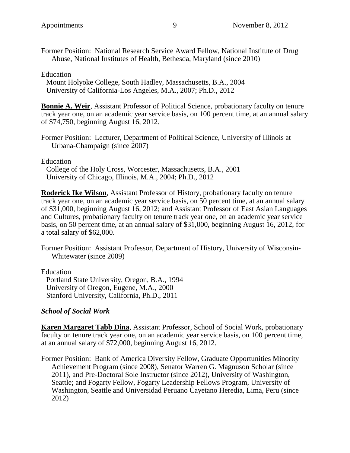Former Position: National Research Service Award Fellow, National Institute of Drug Abuse, National Institutes of Health, Bethesda, Maryland (since 2010)

Education

Mount Holyoke College, South Hadley, Massachusetts, B.A., 2004 University of California-Los Angeles, M.A., 2007; Ph.D., 2012

**Bonnie A. Weir**, Assistant Professor of Political Science, probationary faculty on tenure track year one, on an academic year service basis, on 100 percent time, at an annual salary of \$74,750, beginning August 16, 2012.

Former Position: Lecturer, Department of Political Science, University of Illinois at Urbana-Champaign (since 2007)

Education

College of the Holy Cross, Worcester, Massachusetts, B.A., 2001 University of Chicago, Illinois, M.A., 2004; Ph.D., 2012

**Roderick Ike Wilson**, Assistant Professor of History, probationary faculty on tenure track year one, on an academic year service basis, on 50 percent time, at an annual salary of \$31,000, beginning August 16, 2012; and Assistant Professor of East Asian Languages and Cultures, probationary faculty on tenure track year one, on an academic year service basis, on 50 percent time, at an annual salary of \$31,000, beginning August 16, 2012, for a total salary of \$62,000.

Former Position: Assistant Professor, Department of History, University of Wisconsin-Whitewater (since 2009)

Education Portland State University, Oregon, B.A., 1994 University of Oregon, Eugene, M.A., 2000 Stanford University, California, Ph.D., 2011

### *School of Social Work*

**Karen Margaret Tabb Dina**, Assistant Professor, School of Social Work, probationary faculty on tenure track year one, on an academic year service basis, on 100 percent time, at an annual salary of \$72,000, beginning August 16, 2012.

Former Position: Bank of America Diversity Fellow, Graduate Opportunities Minority Achievement Program (since 2008), Senator Warren G. Magnuson Scholar (since 2011), and Pre-Doctoral Sole Instructor (since 2012), University of Washington, Seattle; and Fogarty Fellow, Fogarty Leadership Fellows Program, University of Washington, Seattle and Universidad Peruano Cayetano Heredia, Lima, Peru (since 2012)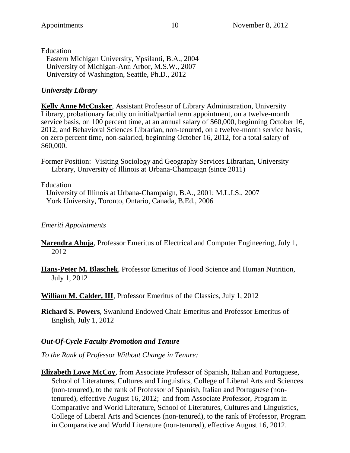Education Eastern Michigan University, Ypsilanti, B.A., 2004 University of Michigan-Ann Arbor, M.S.W., 2007 University of Washington, Seattle, Ph.D., 2012

# *University Library*

**Kelly Anne McCusker**, Assistant Professor of Library Administration, University Library, probationary faculty on initial/partial term appointment, on a twelve-month service basis, on 100 percent time, at an annual salary of \$60,000, beginning October 16, 2012; and Behavioral Sciences Librarian, non-tenured, on a twelve-month service basis, on zero percent time, non-salaried, beginning October 16, 2012, for a total salary of \$60,000.

Former Position: Visiting Sociology and Geography Services Librarian, University Library, University of Illinois at Urbana-Champaign (since 2011)

## Education

University of Illinois at Urbana-Champaign, B.A., 2001; M.L.I.S., 2007 York University, Toronto, Ontario, Canada, B.Ed., 2006

# *Emeriti Appointments*

- **Narendra Ahuja**, Professor Emeritus of Electrical and Computer Engineering, July 1, 2012
- **Hans-Peter M. Blaschek**, Professor Emeritus of Food Science and Human Nutrition, July 1, 2012

**William M. Calder, III**, Professor Emeritus of the Classics, July 1, 2012

**Richard S. Powers**, Swanlund Endowed Chair Emeritus and Professor Emeritus of English, July 1, 2012

# *Out-Of-Cycle Faculty Promotion and Tenure*

*To the Rank of Professor Without Change in Tenure:*

**Elizabeth Lowe McCoy**, from Associate Professor of Spanish, Italian and Portuguese, School of Literatures, Cultures and Linguistics, College of Liberal Arts and Sciences (non-tenured), to the rank of Professor of Spanish, Italian and Portuguese (nontenured), effective August 16, 2012; and from Associate Professor, Program in Comparative and World Literature, School of Literatures, Cultures and Linguistics, College of Liberal Arts and Sciences (non-tenured), to the rank of Professor, Program in Comparative and World Literature (non-tenured), effective August 16, 2012.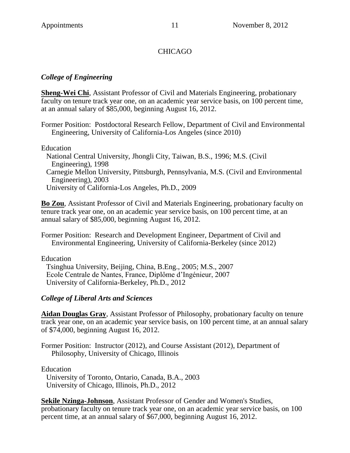# **CHICAGO**

# *College of Engineering*

**Sheng-Wei Chi**, Assistant Professor of Civil and Materials Engineering, probationary faculty on tenure track year one, on an academic year service basis, on 100 percent time, at an annual salary of \$85,000, beginning August 16, 2012.

Former Position: Postdoctoral Research Fellow, Department of Civil and Environmental Engineering, University of California-Los Angeles (since 2010)

Education

National Central University, Jhongli City, Taiwan, B.S., 1996; M.S. (Civil Engineering), 1998 Carnegie Mellon University, Pittsburgh, Pennsylvania, M.S. (Civil and Environmental Engineering), 2003 University of California-Los Angeles, Ph.D., 2009

**Bo Zou**, Assistant Professor of Civil and Materials Engineering, probationary faculty on tenure track year one, on an academic year service basis, on 100 percent time, at an annual salary of \$85,000, beginning August 16, 2012.

Former Position: Research and Development Engineer, Department of Civil and Environmental Engineering, University of California-Berkeley (since 2012)

Education

Tsinghua University, Beijing, China, B.Eng., 2005; M.S., 2007 Ecole Centrale de Nantes, France, Diplôme d'Ingénieur, 2007 University of California-Berkeley, Ph.D., 2012

# *College of Liberal Arts and Sciences*

**Aidan Douglas Gray**, Assistant Professor of Philosophy, probationary faculty on tenure track year one, on an academic year service basis, on 100 percent time, at an annual salary of \$74,000, beginning August 16, 2012.

Former Position: Instructor (2012), and Course Assistant (2012), Department of Philosophy, University of Chicago, Illinois

Education

University of Toronto, Ontario, Canada, B.A., 2003 University of Chicago, Illinois, Ph.D., 2012

**Sekile Nzinga-Johnson**, Assistant Professor of Gender and Women's Studies, probationary faculty on tenure track year one, on an academic year service basis, on 100 percent time, at an annual salary of \$67,000, beginning August 16, 2012.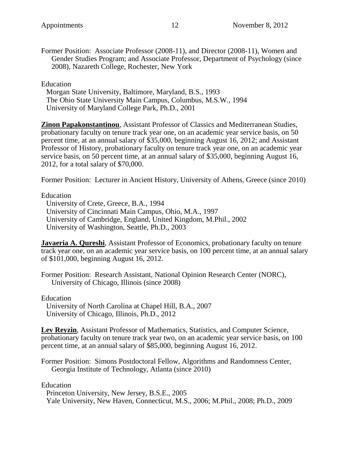Former Position: Associate Professor (2008-11), and Director (2008-11), Women and Gender Studies Program; and Associate Professor, Department of Psychology (since 2008), Nazareth College, Rochester, New York

Education

Morgan State University, Baltimore, Maryland, B.S., 1993 The Ohio State University Main Campus, Columbus, M.S.W., 1994 University of Maryland College Park, Ph.D., 2001

**Zinon Papakonstantinou**, Assistant Professor of Classics and Mediterranean Studies, probationary faculty on tenure track year one, on an academic year service basis, on 50 percent time, at an annual salary of \$35,000, beginning August 16, 2012; and Assistant Professor of History, probationary faculty on tenure track year one, on an academic year service basis, on 50 percent time, at an annual salary of \$35,000, beginning August 16, 2012, for a total salary of \$70,000.

Former Position: Lecturer in Ancient History, University of Athens, Greece (since 2010)

Education

University of Crete, Greece, B.A., 1994 University of Cincinnati Main Campus, Ohio, M.A., 1997 University of Cambridge, England, United Kingdom, M.Phil., 2002 University of Washington, Seattle, Ph.D., 2003

**Javaeria A. Qureshi**, Assistant Professor of Economics, probationary faculty on tenure track year one, on an academic year service basis, on 100 percent time, at an annual salary of \$101,000, beginning August 16, 2012.

Former Position: Research Assistant, National Opinion Research Center (NORC), University of Chicago, Illinois (since 2008)

Education

University of North Carolina at Chapel Hill, B.A., 2007 University of Chicago, Illinois, Ph.D., 2012

**Lev Reyzin**, Assistant Professor of Mathematics, Statistics, and Computer Science, probationary faculty on tenure track year two, on an academic year service basis, on 100 percent time, at an annual salary of \$85,000, beginning August 16, 2012.

Former Position: Simons Postdoctoral Fellow, Algorithms and Randomness Center, Georgia Institute of Technology, Atlanta (since 2010)

Education

Princeton University, New Jersey, B.S.E., 2005 Yale University, New Haven, Connecticut, M.S., 2006; M.Phil., 2008; Ph.D., 2009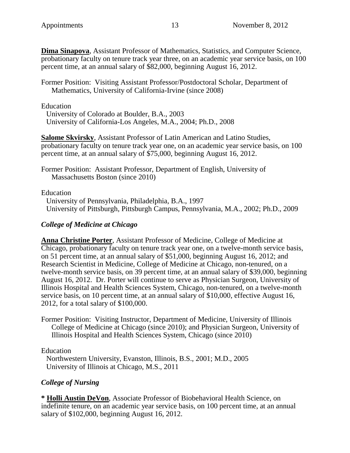**Dima Sinapova**, Assistant Professor of Mathematics, Statistics, and Computer Science, probationary faculty on tenure track year three, on an academic year service basis, on 100 percent time, at an annual salary of \$82,000, beginning August 16, 2012.

Former Position: Visiting Assistant Professor/Postdoctoral Scholar, Department of Mathematics, University of California-Irvine (since 2008)

Education

University of Colorado at Boulder, B.A., 2003 University of California-Los Angeles, M.A., 2004; Ph.D., 2008

**Salome Skvirsky**, Assistant Professor of Latin American and Latino Studies, probationary faculty on tenure track year one, on an academic year service basis, on 100 percent time, at an annual salary of \$75,000, beginning August 16, 2012.

Former Position: Assistant Professor, Department of English, University of Massachusetts Boston (since 2010)

Education

University of Pennsylvania, Philadelphia, B.A., 1997 University of Pittsburgh, Pittsburgh Campus, Pennsylvania, M.A., 2002; Ph.D., 2009

## *College of Medicine at Chicago*

**Anna Christine Porter**, Assistant Professor of Medicine, College of Medicine at Chicago, probationary faculty on tenure track year one, on a twelve-month service basis, on 51 percent time, at an annual salary of \$51,000, beginning August 16, 2012; and Research Scientist in Medicine, College of Medicine at Chicago, non-tenured, on a twelve-month service basis, on 39 percent time, at an annual salary of \$39,000, beginning August 16, 2012. Dr. Porter will continue to serve as Physician Surgeon, University of Illinois Hospital and Health Sciences System, Chicago, non-tenured, on a twelve-month service basis, on 10 percent time, at an annual salary of \$10,000, effective August 16, 2012, for a total salary of \$100,000.

Former Position: Visiting Instructor, Department of Medicine, University of Illinois College of Medicine at Chicago (since 2010); and Physician Surgeon, University of Illinois Hospital and Health Sciences System, Chicago (since 2010)

Education

Northwestern University, Evanston, Illinois, B.S., 2001; M.D., 2005 University of Illinois at Chicago, M.S., 2011

# *College of Nursing*

**\* Holli Austin DeVon**, Associate Professor of Biobehavioral Health Science, on indefinite tenure, on an academic year service basis, on 100 percent time, at an annual salary of \$102,000, beginning August 16, 2012.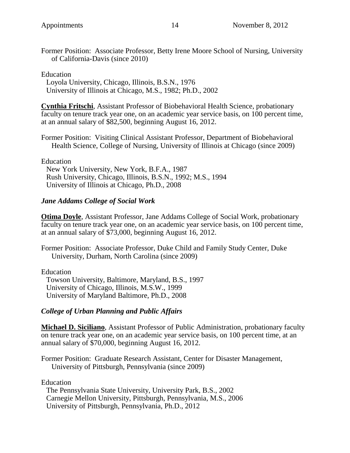Former Position: Associate Professor, Betty Irene Moore School of Nursing, University of California-Davis (since 2010)

#### Education

Loyola University, Chicago, Illinois, B.S.N., 1976 University of Illinois at Chicago, M.S., 1982; Ph.D., 2002

**Cynthia Fritschi**, Assistant Professor of Biobehavioral Health Science, probationary faculty on tenure track year one, on an academic year service basis, on 100 percent time, at an annual salary of \$82,500, beginning August 16, 2012.

Former Position: Visiting Clinical Assistant Professor, Department of Biobehavioral Health Science, College of Nursing, University of Illinois at Chicago (since 2009)

Education New York University, New York, B.F.A., 1987 Rush University, Chicago, Illinois, B.S.N., 1992; M.S., 1994 University of Illinois at Chicago, Ph.D., 2008

## *Jane Addams College of Social Work*

**Otima Doyle**, Assistant Professor, Jane Addams College of Social Work, probationary faculty on tenure track year one, on an academic year service basis, on 100 percent time, at an annual salary of \$73,000, beginning August 16, 2012.

Former Position: Associate Professor, Duke Child and Family Study Center, Duke University, Durham, North Carolina (since 2009)

Education

Towson University, Baltimore, Maryland, B.S., 1997 University of Chicago, Illinois, M.S.W., 1999 University of Maryland Baltimore, Ph.D., 2008

### *College of Urban Planning and Public Affairs*

**Michael D. Siciliano**, Assistant Professor of Public Administration, probationary faculty on tenure track year one, on an academic year service basis, on 100 percent time, at an annual salary of \$70,000, beginning August 16, 2012.

Former Position: Graduate Research Assistant, Center for Disaster Management, University of Pittsburgh, Pennsylvania (since 2009)

Education

The Pennsylvania State University, University Park, B.S., 2002 Carnegie Mellon University, Pittsburgh, Pennsylvania, M.S., 2006 University of Pittsburgh, Pennsylvania, Ph.D., 2012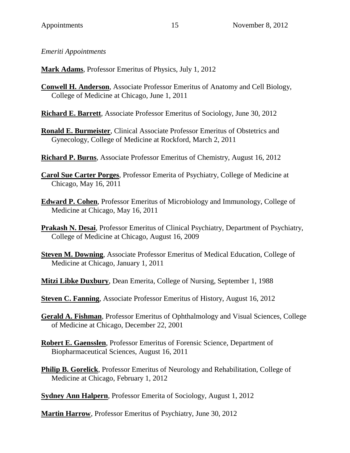*Emeriti Appointments*

**Mark Adams**, Professor Emeritus of Physics, July 1, 2012

**Conwell H. Anderson**, Associate Professor Emeritus of Anatomy and Cell Biology, College of Medicine at Chicago, June 1, 2011

**Richard E. Barrett**, Associate Professor Emeritus of Sociology, June 30, 2012

- **Ronald E. Burmeister**, Clinical Associate Professor Emeritus of Obstetrics and Gynecology, College of Medicine at Rockford, March 2, 2011
- **Richard P. Burns**, Associate Professor Emeritus of Chemistry, August 16, 2012
- **Carol Sue Carter Porges**, Professor Emerita of Psychiatry, College of Medicine at Chicago, May 16, 2011
- **Edward P. Cohen**, Professor Emeritus of Microbiology and Immunology, College of Medicine at Chicago, May 16, 2011
- **Prakash N. Desai**, Professor Emeritus of Clinical Psychiatry, Department of Psychiatry, College of Medicine at Chicago, August 16, 2009
- **Steven M. Downing**, Associate Professor Emeritus of Medical Education, College of Medicine at Chicago, January 1, 2011
- **Mitzi Libke Duxbury**, Dean Emerita, College of Nursing, September 1, 1988

**Steven C. Fanning**, Associate Professor Emeritus of History, August 16, 2012

- **Gerald A. Fishman**, Professor Emeritus of Ophthalmology and Visual Sciences, College of Medicine at Chicago, December 22, 2001
- **Robert E. Gaensslen**, Professor Emeritus of Forensic Science, Department of Biopharmaceutical Sciences, August 16, 2011
- **Philip B. Gorelick**, Professor Emeritus of Neurology and Rehabilitation, College of Medicine at Chicago, February 1, 2012

**Sydney Ann Halpern**, Professor Emerita of Sociology, August 1, 2012

**Martin Harrow**, Professor Emeritus of Psychiatry, June 30, 2012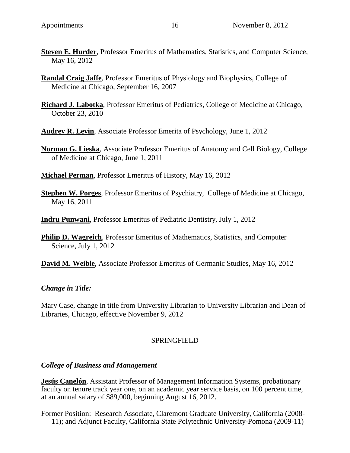- **Steven E. Hurder**, Professor Emeritus of Mathematics, Statistics, and Computer Science, May 16, 2012
- **Randal Craig Jaffe**, Professor Emeritus of Physiology and Biophysics, College of Medicine at Chicago, September 16, 2007
- **Richard J. Labotka**, Professor Emeritus of Pediatrics, College of Medicine at Chicago, October 23, 2010
- **Audrey R. Levin**, Associate Professor Emerita of Psychology, June 1, 2012
- **Norman G. Lieska**, Associate Professor Emeritus of Anatomy and Cell Biology, College of Medicine at Chicago, June 1, 2011
- **Michael Perman**, Professor Emeritus of History, May 16, 2012
- **Stephen W. Porges**, Professor Emeritus of Psychiatry, College of Medicine at Chicago, May 16, 2011
- **Indru Punwani**, Professor Emeritus of Pediatric Dentistry, July 1, 2012
- **Philip D. Wagreich**, Professor Emeritus of Mathematics, Statistics, and Computer Science, July 1, 2012
- **David M. Weible**, Associate Professor Emeritus of Germanic Studies, May 16, 2012

### *Change in Title:*

Mary Case, change in title from University Librarian to University Librarian and Dean of Libraries, Chicago, effective November 9, 2012

### SPRINGFIELD

### *College of Business and Management*

**Jesús Canelón**, Assistant Professor of Management Information Systems, probationary faculty on tenure track year one, on an academic year service basis, on 100 percent time, at an annual salary of \$89,000, beginning August 16, 2012.

Former Position: Research Associate, Claremont Graduate University, California (2008- 11); and Adjunct Faculty, California State Polytechnic University-Pomona (2009-11)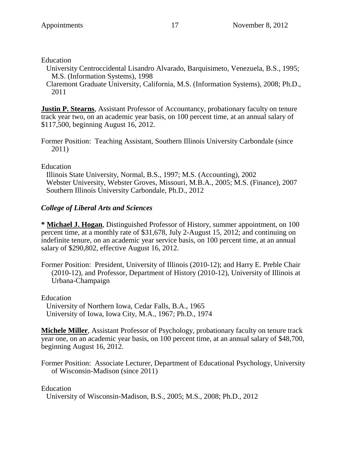#### Education

University Centroccidental Lisandro Alvarado, Barquisimeto, Venezuela, B.S., 1995; M.S. (Information Systems), 1998

Claremont Graduate University, California, M.S. (Information Systems), 2008; Ph.D., 2011

**Justin P. Stearns**, Assistant Professor of Accountancy, probationary faculty on tenure track year two, on an academic year basis, on 100 percent time, at an annual salary of \$117,500, beginning August 16, 2012.

Former Position: Teaching Assistant, Southern Illinois University Carbondale (since 2011)

### Education

Illinois State University, Normal, B.S., 1997; M.S. (Accounting), 2002 Webster University, Webster Groves, Missouri, M.B.A., 2005; M.S. (Finance), 2007 Southern Illinois University Carbondale, Ph.D., 2012

### *College of Liberal Arts and Sciences*

**\* Michael J. Hogan**, Distinguished Professor of History, summer appointment, on 100 percent time, at a monthly rate of \$31,678, July 2-August 15, 2012; and continuing on indefinite tenure, on an academic year service basis, on 100 percent time, at an annual salary of \$290,802, effective August 16, 2012.

Former Position: President, University of Illinois (2010-12); and Harry E. Preble Chair (2010-12), and Professor, Department of History (2010-12), University of Illinois at Urbana-Champaign

Education University of Northern Iowa, Cedar Falls, B.A., 1965 University of Iowa, Iowa City, M.A., 1967; Ph.D., 1974

**Michele Miller**, Assistant Professor of Psychology, probationary faculty on tenure track year one, on an academic year basis, on 100 percent time, at an annual salary of \$48,700, beginning August 16, 2012.

Former Position: Associate Lecturer, Department of Educational Psychology, University of Wisconsin-Madison (since 2011)

### Education

University of Wisconsin-Madison, B.S., 2005; M.S., 2008; Ph.D., 2012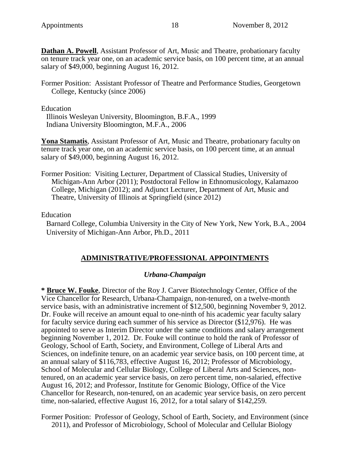**Dathan A. Powell**, Assistant Professor of Art, Music and Theatre, probationary faculty on tenure track year one, on an academic service basis, on 100 percent time, at an annual salary of \$49,000, beginning August 16, 2012.

Former Position: Assistant Professor of Theatre and Performance Studies, Georgetown College, Kentucky (since 2006)

Education

Illinois Wesleyan University, Bloomington, B.F.A., 1999 Indiana University Bloomington, M.F.A., 2006

**Yona Stamatis**, Assistant Professor of Art, Music and Theatre, probationary faculty on tenure track year one, on an academic service basis, on 100 percent time, at an annual salary of \$49,000, beginning August 16, 2012.

Former Position: Visiting Lecturer, Department of Classical Studies, University of Michigan-Ann Arbor (2011); Postdoctoral Fellow in Ethnomusicology, Kalamazoo College, Michigan (2012); and Adjunct Lecturer, Department of Art, Music and Theatre, University of Illinois at Springfield (since 2012)

Education

Barnard College, Columbia University in the City of New York, New York, B.A., 2004 University of Michigan-Ann Arbor, Ph.D., 2011

# **ADMINISTRATIVE/PROFESSIONAL APPOINTMENTS**

### *Urbana-Champaign*

**\* Bruce W. Fouke**, Director of the Roy J. Carver Biotechnology Center, Office of the Vice Chancellor for Research, Urbana-Champaign, non-tenured, on a twelve-month service basis, with an administrative increment of \$12,500, beginning November 9, 2012. Dr. Fouke will receive an amount equal to one-ninth of his academic year faculty salary for faculty service during each summer of his service as Director (\$12,976). He was appointed to serve as Interim Director under the same conditions and salary arrangement beginning November 1, 2012. Dr. Fouke will continue to hold the rank of Professor of Geology, School of Earth, Society, and Environment, College of Liberal Arts and Sciences, on indefinite tenure, on an academic year service basis, on 100 percent time, at an annual salary of \$116,783, effective August 16, 2012; Professor of Microbiology, School of Molecular and Cellular Biology, College of Liberal Arts and Sciences, nontenured, on an academic year service basis, on zero percent time, non-salaried, effective August 16, 2012; and Professor, Institute for Genomic Biology, Office of the Vice Chancellor for Research, non-tenured, on an academic year service basis, on zero percent time, non-salaried, effective August 16, 2012, for a total salary of \$142,259.

Former Position: Professor of Geology, School of Earth, Society, and Environment (since 2011), and Professor of Microbiology, School of Molecular and Cellular Biology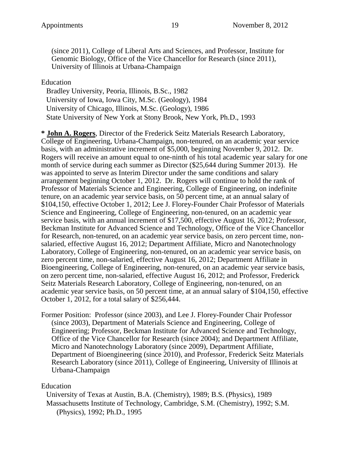(since 2011), College of Liberal Arts and Sciences, and Professor, Institute for Genomic Biology, Office of the Vice Chancellor for Research (since 2011), University of Illinois at Urbana-Champaign

Education

Bradley University, Peoria, Illinois, B.Sc., 1982 University of Iowa, Iowa City, M.Sc. (Geology), 1984 University of Chicago, Illinois, M.Sc. (Geology), 1986 State University of New York at Stony Brook, New York, Ph.D., 1993

**\* John A. Rogers**, Director of the Frederick Seitz Materials Research Laboratory, College of Engineering, Urbana-Champaign, non-tenured, on an academic year service basis, with an administrative increment of \$5,000, beginning November 9, 2012. Dr. Rogers will receive an amount equal to one-ninth of his total academic year salary for one month of service during each summer as Director (\$25,644 during Summer 2013). He was appointed to serve as Interim Director under the same conditions and salary arrangement beginning October 1, 2012. Dr. Rogers will continue to hold the rank of Professor of Materials Science and Engineering, College of Engineering, on indefinite tenure, on an academic year service basis, on 50 percent time, at an annual salary of \$104,150, effective October 1, 2012; Lee J. Florey-Founder Chair Professor of Materials Science and Engineering, College of Engineering, non-tenured, on an academic year service basis, with an annual increment of \$17,500, effective August 16, 2012; Professor, Beckman Institute for Advanced Science and Technology, Office of the Vice Chancellor for Research, non-tenured, on an academic year service basis, on zero percent time, nonsalaried, effective August 16, 2012; Department Affiliate, Micro and Nanotechnology Laboratory, College of Engineering, non-tenured, on an academic year service basis, on zero percent time, non-salaried, effective August 16, 2012; Department Affiliate in Bioengineering, College of Engineering, non-tenured, on an academic year service basis, on zero percent time, non-salaried, effective August 16, 2012; and Professor, Frederick Seitz Materials Research Laboratory, College of Engineering, non-tenured, on an academic year service basis, on 50 percent time, at an annual salary of \$104,150, effective October 1, 2012, for a total salary of \$256,444.

Former Position: Professor (since 2003), and Lee J. Florey-Founder Chair Professor (since 2003), Department of Materials Science and Engineering, College of Engineering; Professor, Beckman Institute for Advanced Science and Technology, Office of the Vice Chancellor for Research (since 2004); and Department Affiliate, Micro and Nanotechnology Laboratory (since 2009), Department Affiliate, Department of Bioengineering (since 2010), and Professor, Frederick Seitz Materials Research Laboratory (since 2011), College of Engineering, University of Illinois at Urbana-Champaign

# Education

University of Texas at Austin, B.A. (Chemistry), 1989; B.S. (Physics), 1989 Massachusetts Institute of Technology, Cambridge, S.M. (Chemistry), 1992; S.M. (Physics), 1992; Ph.D., 1995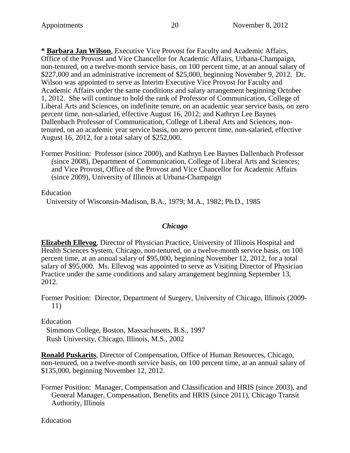**\* Barbara Jan Wilson**, Executive Vice Provost for Faculty and Academic Affairs, Office of the Provost and Vice Chancellor for Academic Affairs, Urbana-Champaign, non-tenured, on a twelve-month service basis, on 100 percent time, at an annual salary of \$227,000 and an administrative increment of \$25,000, beginning November 9, 2012. Dr. Wilson was appointed to serve as Interim Executive Vice Provost for Faculty and Academic Affairs under the same conditions and salary arrangement beginning October 1, 2012. She will continue to hold the rank of Professor of Communication, College of Liberal Arts and Sciences, on indefinite tenure, on an academic year service basis, on zero percent time, non-salaried, effective August 16, 2012; and Kathryn Lee Baynes Dallenbach Professor of Communication, College of Liberal Arts and Sciences, nontenured, on an academic year service basis, on zero percent time, non-salaried, effective August 16, 2012, for a total salary of \$252,000.

Former Position: Professor (since 2000), and Kathryn Lee Baynes Dallenbach Professor (since 2008), Department of Communication, College of Liberal Arts and Sciences; and Vice Provost, Office of the Provost and Vice Chancellor for Academic Affairs (since 2009), University of Illinois at Urbana-Champaign

Education

University of Wisconsin-Madison, B.A., 1979; M.A., 1982; Ph.D., 1985

#### *Chicago*

**Elizabeth Ellevog**, Director of Physician Practice, University of Illinois Hospital and Health Sciences System, Chicago, non-tenured, on a twelve-month service basis, on 100 percent time, at an annual salary of \$95,000, beginning November 12, 2012, for a total salary of \$95,000. Ms. Ellevog was appointed to serve as Visiting Director of Physician Practice under the same conditions and salary arrangement beginning September 13, 2012.

Former Position: Director, Department of Surgery, University of Chicago, Illinois (2009- 11)

Education

Simmons College, Boston, Massachusetts, B.S., 1997 Rush University, Chicago, Illinois, M.S., 2002

**Ronald Puskarits**, Director of Compensation, Office of Human Resources, Chicago, non-tenured, on a twelve-month service basis, on 100 percent time, at an annual salary of \$135,000, beginning November 12, 2012.

Former Position: Manager, Compensation and Classification and HRIS (since 2003), and General Manager, Compensation, Benefits and HRIS (since 2011), Chicago Transit Authority, Illinois

Education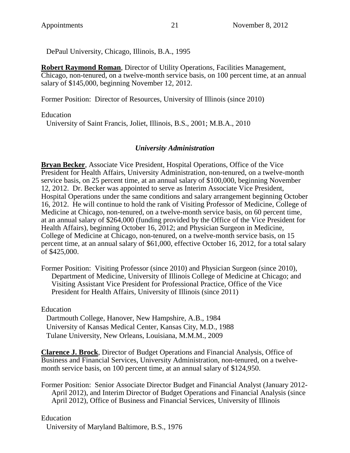DePaul University, Chicago, Illinois, B.A., 1995

**Robert Raymond Roman**, Director of Utility Operations, Facilities Management, Chicago, non-tenured, on a twelve-month service basis, on 100 percent time, at an annual salary of \$145,000, beginning November 12, 2012.

Former Position: Director of Resources, University of Illinois (since 2010)

Education

University of Saint Francis, Joliet, Illinois, B.S., 2001; M.B.A., 2010

### *University Administration*

**Bryan Becker**, Associate Vice President, Hospital Operations, Office of the Vice President for Health Affairs, University Administration, non-tenured, on a twelve-month service basis, on 25 percent time, at an annual salary of \$100,000, beginning November 12, 2012. Dr. Becker was appointed to serve as Interim Associate Vice President, Hospital Operations under the same conditions and salary arrangement beginning October 16, 2012. He will continue to hold the rank of Visiting Professor of Medicine, College of Medicine at Chicago, non-tenured, on a twelve-month service basis, on 60 percent time, at an annual salary of \$264,000 (funding provided by the Office of the Vice President for Health Affairs), beginning October 16, 2012; and Physician Surgeon in Medicine, College of Medicine at Chicago, non-tenured, on a twelve-month service basis, on 15 percent time, at an annual salary of \$61,000, effective October 16, 2012, for a total salary of \$425,000.

Former Position: Visiting Professor (since 2010) and Physician Surgeon (since 2010), Department of Medicine, University of Illinois College of Medicine at Chicago; and Visiting Assistant Vice President for Professional Practice, Office of the Vice President for Health Affairs, University of Illinois (since 2011)

Education

Dartmouth College, Hanover, New Hampshire, A.B., 1984 University of Kansas Medical Center, Kansas City, M.D., 1988 Tulane University, New Orleans, Louisiana, M.M.M., 2009

**Clarence J. Brock**, Director of Budget Operations and Financial Analysis, Office of Business and Financial Services, University Administration, non-tenured, on a twelvemonth service basis, on 100 percent time, at an annual salary of \$124,950.

Former Position: Senior Associate Director Budget and Financial Analyst (January 2012- April 2012), and Interim Director of Budget Operations and Financial Analysis (since April 2012), Office of Business and Financial Services, University of Illinois

Education

University of Maryland Baltimore, B.S., 1976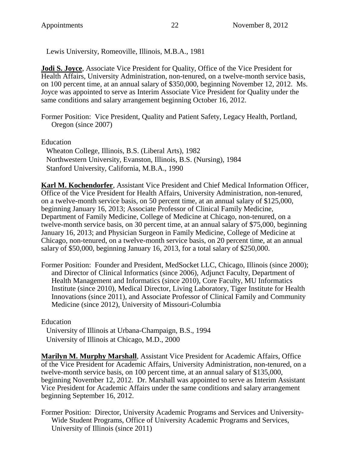Lewis University, Romeoville, Illinois, M.B.A., 1981

**Jodi S. Joyce**, Associate Vice President for Quality, Office of the Vice President for Health Affairs, University Administration, non-tenured, on a twelve-month service basis, on 100 percent time, at an annual salary of \$350,000, beginning November 12, 2012. Ms. Joyce was appointed to serve as Interim Associate Vice President for Quality under the same conditions and salary arrangement beginning October 16, 2012.

Former Position: Vice President, Quality and Patient Safety, Legacy Health, Portland, Oregon (since 2007)

Education

Wheaton College, Illinois, B.S. (Liberal Arts), 1982 Northwestern University, Evanston, Illinois, B.S. (Nursing), 1984 Stanford University, California, M.B.A., 1990

**Karl M. Kochendorfer**, Assistant Vice President and Chief Medical Information Officer, Office of the Vice President for Health Affairs, University Administration, non-tenured, on a twelve-month service basis, on 50 percent time, at an annual salary of \$125,000, beginning January 16, 2013; Associate Professor of Clinical Family Medicine, Department of Family Medicine, College of Medicine at Chicago, non-tenured, on a twelve-month service basis, on 30 percent time, at an annual salary of \$75,000, beginning January 16, 2013; and Physician Surgeon in Family Medicine, College of Medicine at Chicago, non-tenured, on a twelve-month service basis, on 20 percent time, at an annual salary of \$50,000, beginning January 16, 2013, for a total salary of \$250,000.

Former Position: Founder and President, MedSocket LLC, Chicago, Illinois (since 2000); and Director of Clinical Informatics (since 2006), Adjunct Faculty, Department of Health Management and Informatics (since 2010), Core Faculty, MU Informatics Institute (since 2010), Medical Director, Living Laboratory, Tiger Institute for Health Innovations (since 2011), and Associate Professor of Clinical Family and Community Medicine (since 2012), University of Missouri-Columbia

Education

University of Illinois at Urbana-Champaign, B.S., 1994 University of Illinois at Chicago, M.D., 2000

**Marilyn M. Murphy Marshall**, Assistant Vice President for Academic Affairs, Office of the Vice President for Academic Affairs, University Administration, non-tenured, on a twelve-month service basis, on 100 percent time, at an annual salary of \$135,000, beginning November 12, 2012. Dr. Marshall was appointed to serve as Interim Assistant Vice President for Academic Affairs under the same conditions and salary arrangement beginning September 16, 2012.

Former Position: Director, University Academic Programs and Services and University-Wide Student Programs, Office of University Academic Programs and Services, University of Illinois (since 2011)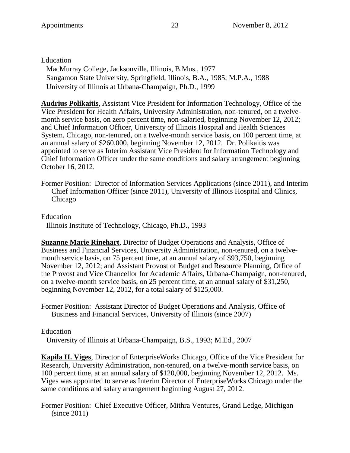Education

MacMurray College, Jacksonville, Illinois, B.Mus., 1977 Sangamon State University, Springfield, Illinois, B.A., 1985; M.P.A., 1988 University of Illinois at Urbana-Champaign, Ph.D., 1999

**Audrius Polikaitis**, Assistant Vice President for Information Technology, Office of the Vice President for Health Affairs, University Administration, non-tenured, on a twelvemonth service basis, on zero percent time, non-salaried, beginning November 12, 2012; and Chief Information Officer, University of Illinois Hospital and Health Sciences System, Chicago, non-tenured, on a twelve-month service basis, on 100 percent time, at an annual salary of \$260,000, beginning November 12, 2012. Dr. Polikaitis was appointed to serve as Interim Assistant Vice President for Information Technology and Chief Information Officer under the same conditions and salary arrangement beginning October 16, 2012.

Former Position: Director of Information Services Applications (since 2011), and Interim Chief Information Officer (since 2011), University of Illinois Hospital and Clinics, Chicago

Education

Illinois Institute of Technology, Chicago, Ph.D., 1993

**Suzanne Marie Rinehart**, Director of Budget Operations and Analysis, Office of Business and Financial Services, University Administration, non-tenured, on a twelvemonth service basis, on 75 percent time, at an annual salary of \$93,750, beginning November 12, 2012; and Assistant Provost of Budget and Resource Planning, Office of the Provost and Vice Chancellor for Academic Affairs, Urbana-Champaign, non-tenured, on a twelve-month service basis, on 25 percent time, at an annual salary of \$31,250, beginning November 12, 2012, for a total salary of \$125,000.

Former Position: Assistant Director of Budget Operations and Analysis, Office of Business and Financial Services, University of Illinois (since 2007)

### Education

University of Illinois at Urbana-Champaign, B.S., 1993; M.Ed., 2007

**Kapila H. Viges**, Director of EnterpriseWorks Chicago, Office of the Vice President for Research, University Administration, non-tenured, on a twelve-month service basis, on 100 percent time, at an annual salary of \$120,000, beginning November 12, 2012. Ms. Viges was appointed to serve as Interim Director of EnterpriseWorks Chicago under the same conditions and salary arrangement beginning August 27, 2012.

Former Position: Chief Executive Officer, Mithra Ventures, Grand Ledge, Michigan (since 2011)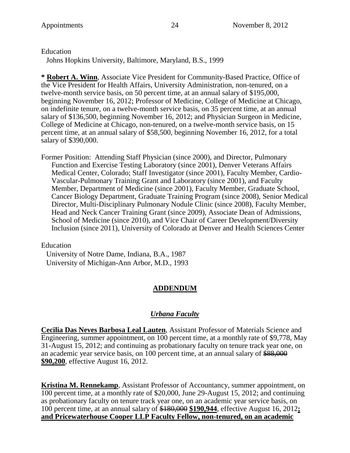Education

Johns Hopkins University, Baltimore, Maryland, B.S., 1999

**\* Robert A. Winn**, Associate Vice President for Community-Based Practice, Office of the Vice President for Health Affairs, University Administration, non-tenured, on a twelve-month service basis, on 50 percent time, at an annual salary of \$195,000, beginning November 16, 2012; Professor of Medicine, College of Medicine at Chicago, on indefinite tenure, on a twelve-month service basis, on 35 percent time, at an annual salary of \$136,500, beginning November 16, 2012; and Physician Surgeon in Medicine, College of Medicine at Chicago, non-tenured, on a twelve-month service basis, on 15 percent time, at an annual salary of \$58,500, beginning November 16, 2012, for a total salary of \$390,000.

Former Position: Attending Staff Physician (since 2000), and Director, Pulmonary Function and Exercise Testing Laboratory (since 2001), Denver Veterans Affairs Medical Center, Colorado; Staff Investigator (since 2001), Faculty Member, Cardio-Vascular-Pulmonary Training Grant and Laboratory (since 2001), and Faculty Member, Department of Medicine (since 2001), Faculty Member, Graduate School, Cancer Biology Department, Graduate Training Program (since 2008), Senior Medical Director, Multi-Disciplinary Pulmonary Nodule Clinic (since 2008), Faculty Member, Head and Neck Cancer Training Grant (since 2009), Associate Dean of Admissions, School of Medicine (since 2010), and Vice Chair of Career Development/Diversity Inclusion (since 2011), University of Colorado at Denver and Health Sciences Center

Education

University of Notre Dame, Indiana, B.A., 1987 University of Michigan-Ann Arbor, M.D., 1993

# **ADDENDUM**

# *Urbana Faculty*

**Cecilia Das Neves Barbosa Leal Lauten**, Assistant Professor of Materials Science and Engineering, summer appointment, on 100 percent time, at a monthly rate of \$9,778, May 31-August 15, 2012; and continuing as probationary faculty on tenure track year one, on an academic year service basis, on 100 percent time, at an annual salary of \$88,000 **\$90,200**, effective August 16, 2012.

**Kristina M. Rennekamp**, Assistant Professor of Accountancy, summer appointment, on 100 percent time, at a monthly rate of \$20,000, June 29-August 15, 2012; and continuing as probationary faculty on tenure track year one, on an academic year service basis, on 100 percent time, at an annual salary of \$180,000 **\$190,944**, effective August 16, 2012**; and Pricewaterhouse Cooper LLP Faculty Fellow, non-tenured, on an academic**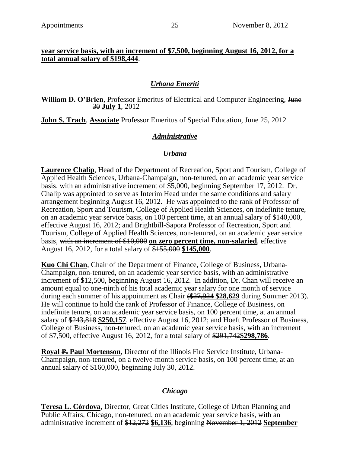### **year service basis, with an increment of \$7,500, beginning August 16, 2012, for a total annual salary of \$198,444**.

# *Urbana Emeriti*

William D. O'Brien, Professor Emeritus of Electrical and Computer Engineering, Hune 30 **July 1**, 2012

**John S. Trach**, **Associate** Professor Emeritus of Special Education, June 25, 2012

## *Administrative*

### *Urbana*

**Laurence Chalip**, Head of the Department of Recreation, Sport and Tourism, College of Applied Health Sciences, Urbana-Champaign, non-tenured, on an academic year service basis, with an administrative increment of \$5,000, beginning September 17, 2012. Dr. Chalip was appointed to serve as Interim Head under the same conditions and salary arrangement beginning August 16, 2012. He was appointed to the rank of Professor of Recreation, Sport and Tourism, College of Applied Health Sciences, on indefinite tenure, on an academic year service basis, on 100 percent time, at an annual salary of \$140,000, effective August 16, 2012; and Brightbill-Sapora Professor of Recreation, Sport and Tourism, College of Applied Health Sciences, non-tenured, on an academic year service basis, with an increment of \$10,000 **on zero percent time, non-salaried**, effective August 16, 2012, for a total salary of \$155,000 **\$145,000**.

**Kuo Chi Chan**, Chair of the Department of Finance, College of Business, Urbana-Champaign, non-tenured, on an academic year service basis, with an administrative increment of \$12,500, beginning August 16, 2012. In addition, Dr. Chan will receive an amount equal to one-ninth of his total academic year salary for one month of service during each summer of his appointment as Chair (\$27,924 **\$28,629** during Summer 2013). He will continue to hold the rank of Professor of Finance, College of Business, on indefinite tenure, on an academic year service basis, on 100 percent time, at an annual salary of \$243,818 **\$250,157**, effective August 16, 2012; and Hoeft Professor of Business, College of Business, non-tenured, on an academic year service basis, with an increment of \$7,500, effective August 16, 2012, for a total salary of \$291,742**\$298,786**.

**Royal P. Paul Mortenson**, Director of the Illinois Fire Service Institute, Urbana-Champaign, non-tenured, on a twelve-month service basis, on 100 percent time, at an annual salary of \$160,000, beginning July 30, 2012.

### *Chicago*

**Teresa L. Córdova**, Director, Great Cities Institute, College of Urban Planning and Public Affairs, Chicago, non-tenured, on an academic year service basis, with an administrative increment of \$12,272 **\$6,136**, beginning November 1, 2012 **September**